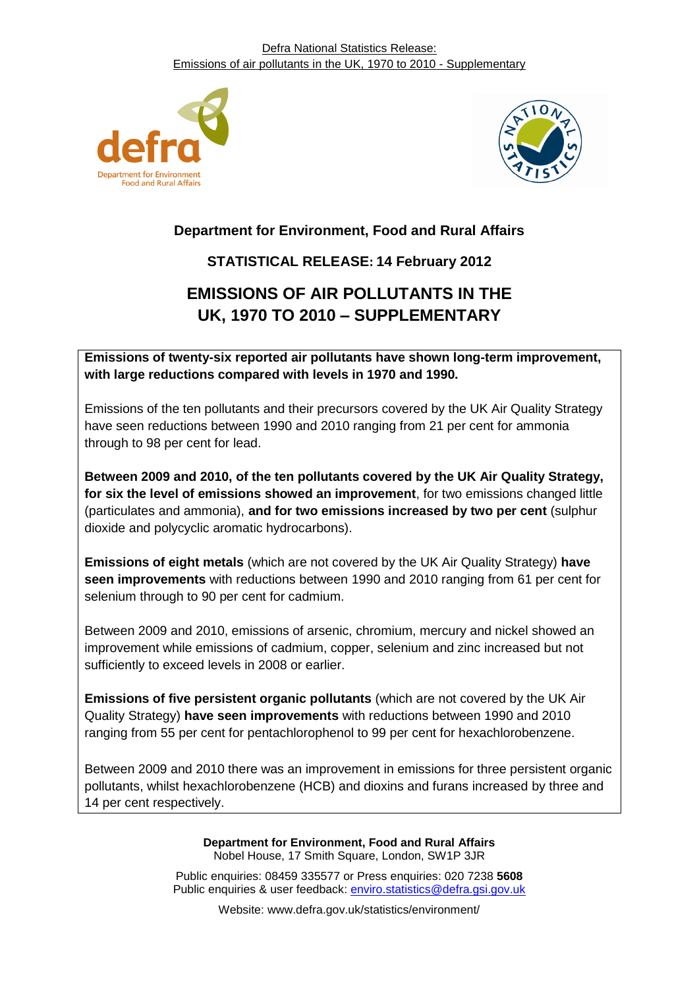



## **Department for Environment, Food and Rural Affairs**

### **STATISTICAL RELEASE: 14 February 2012**

# **EMISSIONS OF AIR POLLUTANTS IN THE UK, 1970 TO 2010 – SUPPLEMENTARY**

**Emissions of twenty-six reported air pollutants have shown long-term improvement, with large reductions compared with levels in 1970 and 1990.**

Emissions of the ten pollutants and their precursors covered by the UK Air Quality Strategy have seen reductions between 1990 and 2010 ranging from 21 per cent for ammonia through to 98 per cent for lead.

**Between 2009 and 2010, of the ten pollutants covered by the UK Air Quality Strategy, for six the level of emissions showed an improvement**, for two emissions changed little (particulates and ammonia), **and for two emissions increased by two per cent** (sulphur dioxide and polycyclic aromatic hydrocarbons).

**Emissions of eight metals** (which are not covered by the UK Air Quality Strategy) **have seen improvements** with reductions between 1990 and 2010 ranging from 61 per cent for selenium through to 90 per cent for cadmium.

Between 2009 and 2010, emissions of arsenic, chromium, mercury and nickel showed an improvement while emissions of cadmium, copper, selenium and zinc increased but not sufficiently to exceed levels in 2008 or earlier.

**Emissions of five persistent organic pollutants** (which are not covered by the UK Air Quality Strategy) **have seen improvements** with reductions between 1990 and 2010 ranging from 55 per cent for pentachlorophenol to 99 per cent for hexachlorobenzene.

Between 2009 and 2010 there was an improvement in emissions for three persistent organic pollutants, whilst hexachlorobenzene (HCB) and dioxins and furans increased by three and 14 per cent respectively.

> **Department for Environment, Food and Rural Affairs** Nobel House, 17 Smith Square, London, SW1P 3JR

Public enquiries: 08459 335577 or Press enquiries: 020 7238 **5608** Public enquiries & user feedback: enviro.statistics@defra.gsi.gov.uk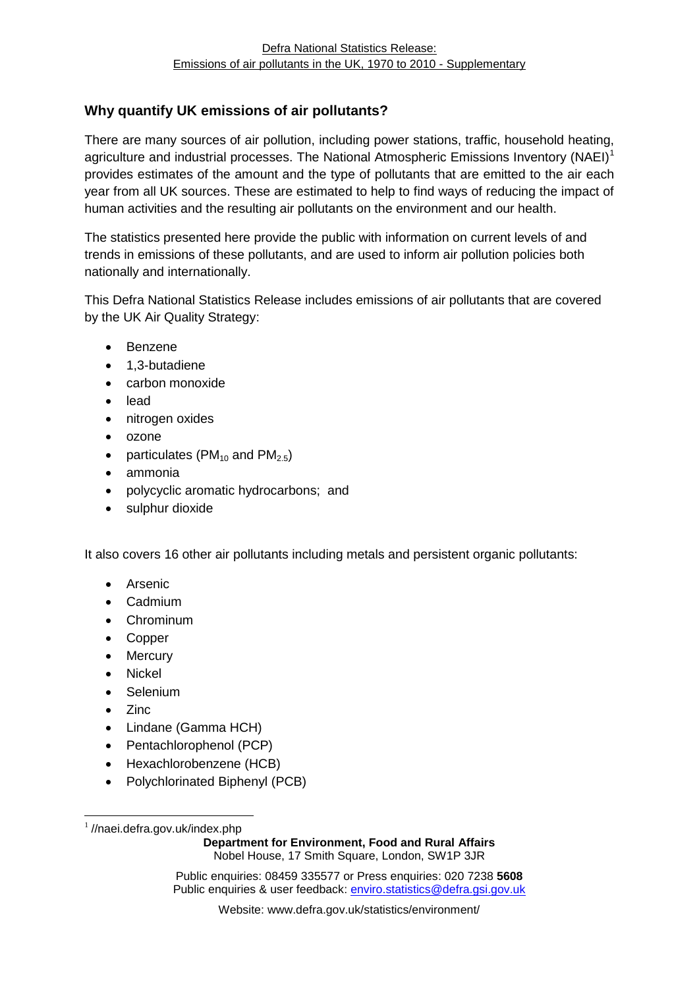#### **Why quantify UK emissions of air pollutants?**

There are many sources of air pollution, including power stations, traffic, household heating, agriculture and industrial processes. The National Atmospheric Emissions Inventory (NAEI)<sup>1</sup> provides estimates of the amount and the type of pollutants that are emitted to the air each year from all UK sources. These are estimated to help to find ways of reducing the impact of human activities and the resulting air pollutants on the environment and our health.

The statistics presented here provide the public with information on current levels of and trends in emissions of these pollutants, and are used to inform air pollution policies both nationally and internationally.

This Defra National Statistics Release includes emissions of air pollutants that are covered by the UK Air Quality Strategy:

- Benzene
- 1.3-butadiene
- carbon monoxide
- lead
- nitrogen oxides
- ozone
- particulates ( $PM<sub>10</sub>$  and  $PM<sub>2.5</sub>$ )
- ammonia
- polycyclic aromatic hydrocarbons; and
- sulphur dioxide

It also covers 16 other air pollutants including metals and persistent organic pollutants:

- **•** Arsenic
- Cadmium
- Chrominum
- Copper
- Mercury
- Nickel
- Selenium
- Zinc

1

- Lindane (Gamma HCH)
- Pentachlorophenol (PCP)
- Hexachlorobenzene (HCB)
- Polychlorinated Biphenyl (PCB)

**Department for Environment, Food and Rural Affairs** Nobel House, 17 Smith Square, London, SW1P 3JR

Public enquiries: 08459 335577 or Press enquiries: 020 7238 **5608** Public enquiries & user feedback: enviro.statistics@defra.gsi.gov.uk

<sup>&</sup>lt;sup>1</sup>//naei.defra.gov.uk/index.php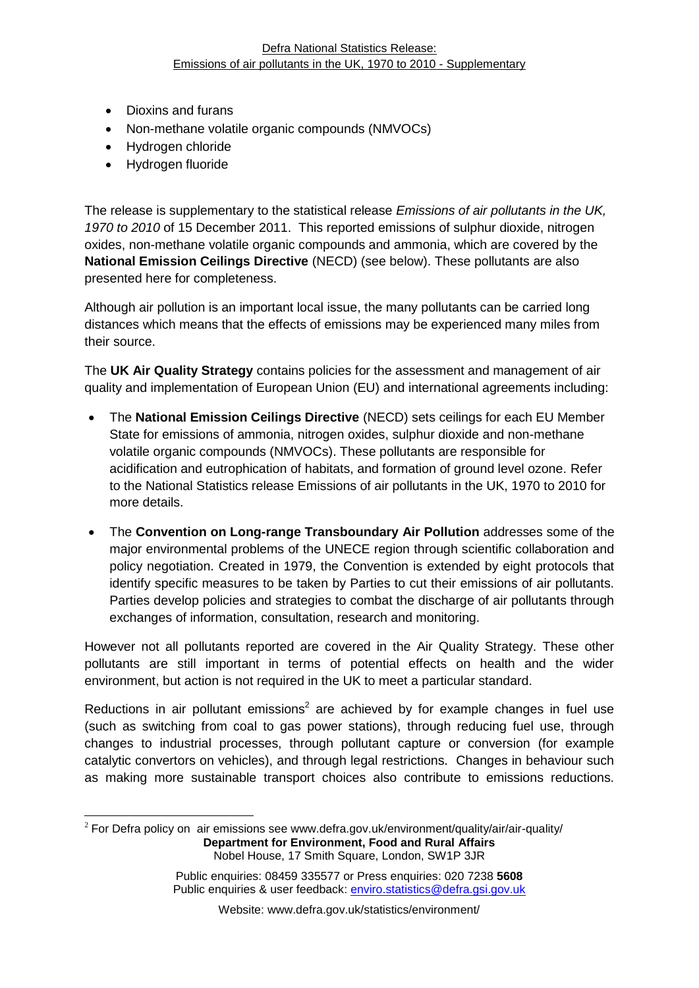- Dioxins and furans
- Non-methane volatile organic compounds (NMVOCs)
- Hydrogen chloride
- Hydrogen fluoride

1

The release is supplementary to the statistical release *Emissions of air pollutants in the UK, 1970 to 2010* of 15 December 2011. This reported emissions of sulphur dioxide, nitrogen oxides, non-methane volatile organic compounds and ammonia, which are covered by the **National Emission Ceilings Directive** (NECD) (see below). These pollutants are also presented here for completeness.

Although air pollution is an important local issue, the many pollutants can be carried long distances which means that the effects of emissions may be experienced many miles from their source.

The **UK Air Quality Strategy** contains policies for the assessment and management of air quality and implementation of European Union (EU) and international agreements including:

- The **National Emission Ceilings Directive** (NECD) sets ceilings for each EU Member State for emissions of ammonia, nitrogen oxides, sulphur dioxide and non-methane volatile organic compounds (NMVOCs). These pollutants are responsible for acidification and eutrophication of habitats, and formation of ground level ozone. Refer to the National Statistics release Emissions of air pollutants in the UK, 1970 to 2010 for more details.
- The **Convention on Long-range Transboundary Air Pollution** addresses some of the major environmental problems of the UNECE region through scientific collaboration and policy negotiation. Created in 1979, the Convention is extended by eight protocols that identify specific measures to be taken by Parties to cut their emissions of air pollutants. Parties develop policies and strategies to combat the discharge of air pollutants through exchanges of information, consultation, research and monitoring.

However not all pollutants reported are covered in the Air Quality Strategy. These other pollutants are still important in terms of potential effects on health and the wider environment, but action is not required in the UK to meet a particular standard.

Reductions in air pollutant emissions<sup>2</sup> are achieved by for example changes in fuel use (such as switching from coal to gas power stations), through reducing fuel use, through changes to industrial processes, through pollutant capture or conversion (for example catalytic convertors on vehicles), and through legal restrictions. Changes in behaviour such as making more sustainable transport choices also contribute to emissions reductions.

**Department for Environment, Food and Rural Affairs** Nobel House, 17 Smith Square, London, SW1P 3JR  $2$  For Defra policy on air emissions see www.defra.gov.uk/environment/quality/air/air-quality/

Public enquiries: 08459 335577 or Press enquiries: 020 7238 **5608** Public enquiries & user feedback: enviro.statistics@defra.gsi.gov.uk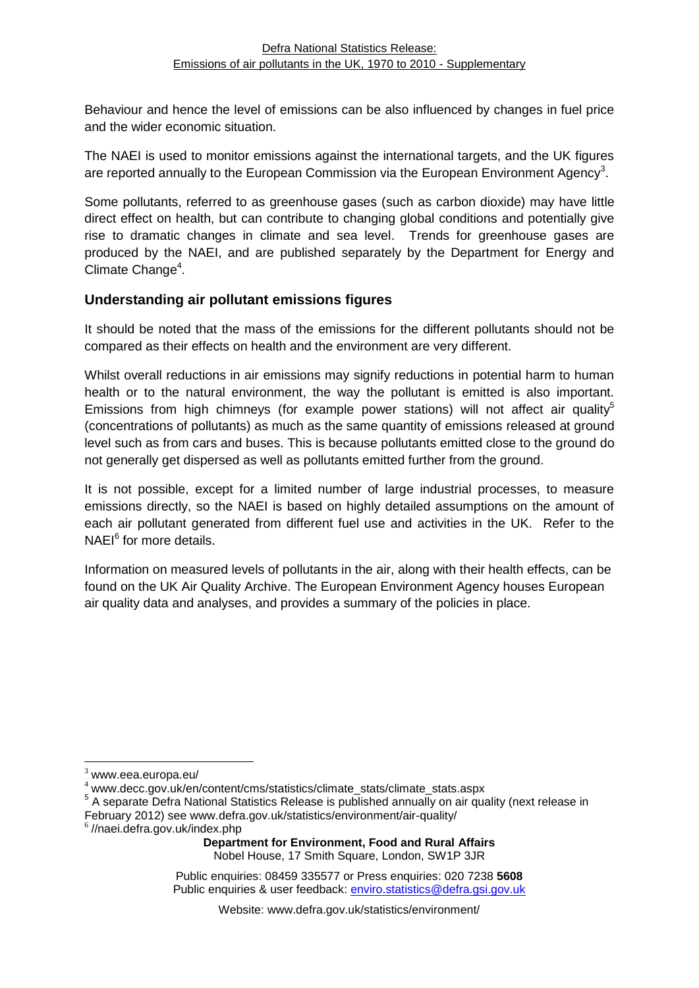Behaviour and hence the level of emissions can be also influenced by changes in fuel price and the wider economic situation.

The NAEI is used to monitor emissions against the international targets, and the UK figures are reported annually to the European Commission via the European Environment Agency<sup>3</sup>.

Some pollutants, referred to as greenhouse gases (such as carbon dioxide) may have little direct effect on health, but can contribute to changing global conditions and potentially give rise to dramatic changes in climate and sea level. Trends for greenhouse gases are produced by the NAEI, and are published separately by the Department for Energy and Climate Change<sup>4</sup>.

#### **Understanding air pollutant emissions figures**

It should be noted that the mass of the emissions for the different pollutants should not be compared as their effects on health and the environment are very different.

Whilst overall reductions in air emissions may signify reductions in potential harm to human health or to the natural environment, the way the pollutant is emitted is also important. Emissions from high chimneys (for example power stations) will not affect air quality<sup>5</sup> (concentrations of pollutants) as much as the same quantity of emissions released at ground level such as from cars and buses. This is because pollutants emitted close to the ground do not generally get dispersed as well as pollutants emitted further from the ground.

It is not possible, except for a limited number of large industrial processes, to measure emissions directly, so the NAEI is based on highly detailed assumptions on the amount of each air pollutant generated from different fuel use and activities in the UK. Refer to the NAEI<sup>6</sup> for more details.

Information on measured levels of pollutants in the air, along with their health effects, can be found on the UK Air Quality Archive. The European Environment Agency houses European air quality data and analyses, and provides a summary of the policies in place.

 $\overline{a}$ 

 $3$  www.eea.europa.eu/

<sup>4</sup> www.decc.gov.uk/en/content/cms/statistics/climate\_stats/climate\_stats.aspx

<sup>&</sup>lt;sup>5</sup> A separate Defra National Statistics Release is published annually on air quality (next release in February 2012) see www.defra.gov.uk/statistics/environment/air-quality/

<sup>6</sup> //naei.defra.gov.uk/index.php

**Department for Environment, Food and Rural Affairs** Nobel House, 17 Smith Square, London, SW1P 3JR

Public enquiries: 08459 335577 or Press enquiries: 020 7238 **5608** Public enquiries & user feedback: enviro.statistics@defra.gsi.gov.uk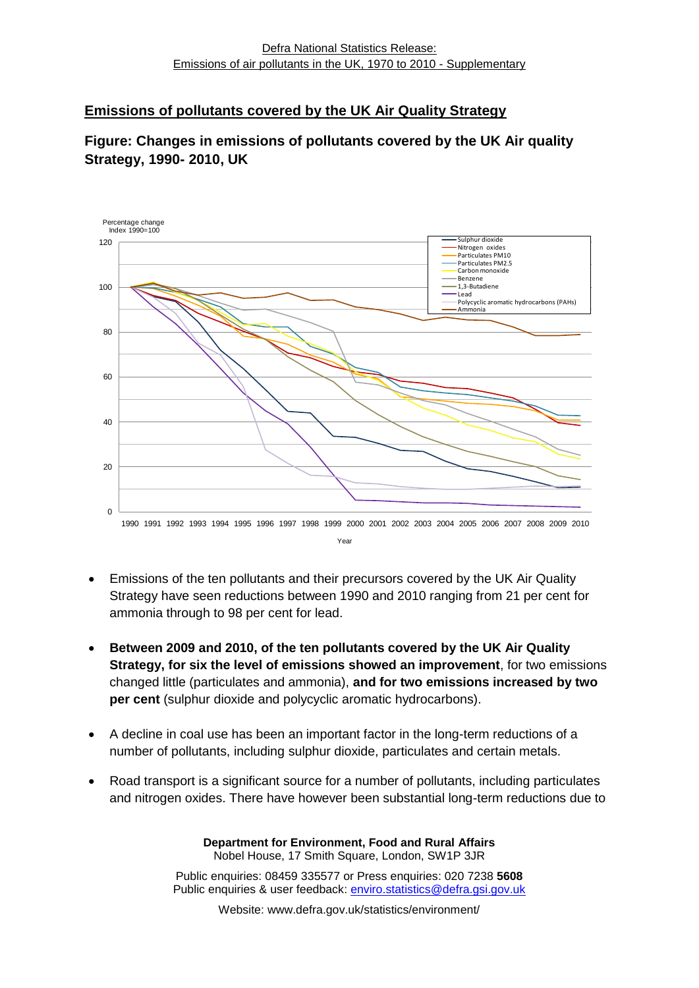#### **Emissions of pollutants covered by the UK Air Quality Strategy**

#### **Figure: Changes in emissions of pollutants covered by the UK Air quality Strategy, 1990- 2010, UK**



- Emissions of the ten pollutants and their precursors covered by the UK Air Quality Strategy have seen reductions between 1990 and 2010 ranging from 21 per cent for ammonia through to 98 per cent for lead.
- **Between 2009 and 2010, of the ten pollutants covered by the UK Air Quality Strategy, for six the level of emissions showed an improvement**, for two emissions changed little (particulates and ammonia), **and for two emissions increased by two per cent** (sulphur dioxide and polycyclic aromatic hydrocarbons).
- A decline in coal use has been an important factor in the long-term reductions of a number of pollutants, including sulphur dioxide, particulates and certain metals.
- Road transport is a significant source for a number of pollutants, including particulates and nitrogen oxides. There have however been substantial long-term reductions due to

**Department for Environment, Food and Rural Affairs** Nobel House, 17 Smith Square, London, SW1P 3JR Public enquiries: 08459 335577 or Press enquiries: 020 7238 **5608** Public enquiries & user feedback: enviro.statistics@defra.gsi.gov.uk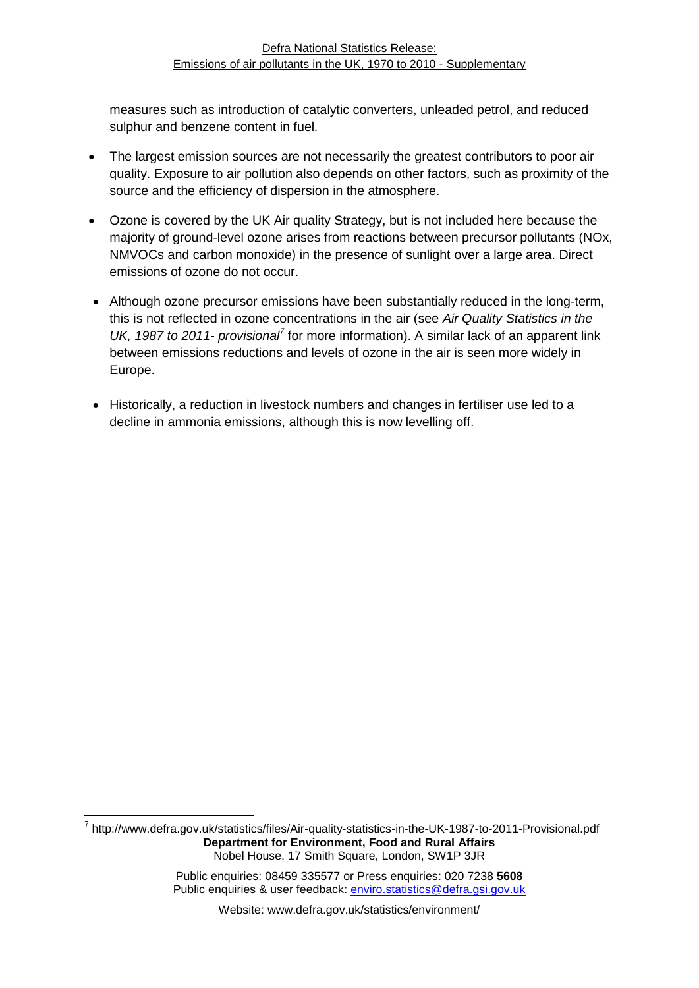measures such as introduction of catalytic converters, unleaded petrol, and reduced sulphur and benzene content in fuel.

- The largest emission sources are not necessarily the greatest contributors to poor air quality. Exposure to air pollution also depends on other factors, such as proximity of the source and the efficiency of dispersion in the atmosphere.
- Ozone is covered by the UK Air quality Strategy, but is not included here because the majority of ground-level ozone arises from reactions between precursor pollutants (NOx, NMVOCs and carbon monoxide) in the presence of sunlight over a large area. Direct emissions of ozone do not occur.
- Although ozone precursor emissions have been substantially reduced in the long-term, this is not reflected in ozone concentrations in the air (see *Air Quality Statistics in the*  UK, 1987 to 2011- *provisional<sup>7</sup>* for more information). A similar lack of an apparent link between emissions reductions and levels of ozone in the air is seen more widely in Europe.
- Historically, a reduction in livestock numbers and changes in fertiliser use led to a decline in ammonia emissions, although this is now levelling off.

**Department for Environment, Food and Rural Affairs** Nobel House, 17 Smith Square, London, SW1P 3JR 1 <sup>7</sup> http://www.defra.gov.uk/statistics/files/Air-quality-statistics-in-the-UK-1987-to-2011-Provisional.pdf

> Public enquiries: 08459 335577 or Press enquiries: 020 7238 **5608** Public enquiries & user feedback: enviro.statistics@defra.gsi.gov.uk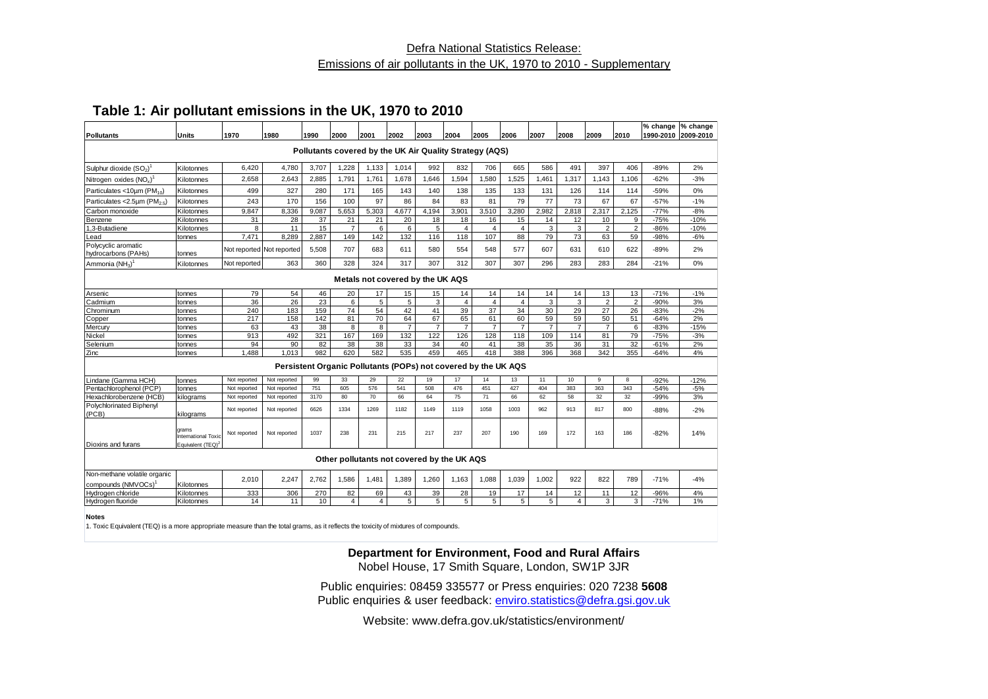#### Defra National Statistics Release: Emissions of air pollutants in the UK, 1970 to 2010 - Supplementary

#### **Table 1: Air pollutant emissions in the UK, 1970 to 2010**

| Pollutants                                                     | Units                                                                | 1970         | 1980                      | 1990  | 2000                                                    | 2001           | 2002           | 2003           | 2004            | 2005           | 2006           | 2007           | 2008           | 2009           | 2010           |        | % change  % change<br>1990-2010 2009-2010 |
|----------------------------------------------------------------|----------------------------------------------------------------------|--------------|---------------------------|-------|---------------------------------------------------------|----------------|----------------|----------------|-----------------|----------------|----------------|----------------|----------------|----------------|----------------|--------|-------------------------------------------|
|                                                                |                                                                      |              |                           |       |                                                         |                |                |                |                 |                |                |                |                |                |                |        |                                           |
|                                                                |                                                                      |              |                           |       | Pollutants covered by the UK Air Quality Strategy (AQS) |                |                |                |                 |                |                |                |                |                |                |        |                                           |
| Sulphur dioxide (SO <sub>2</sub> )                             | Kilotonnes                                                           | 6,420        | 4,780                     | 3,707 | 1,228                                                   | 1,133          | 1,014          | 992            | 832             | 706            | 665            | 586            | 491            | 397            | 406            | $-89%$ | 2%                                        |
| Nitrogen oxides (NO <sub>v</sub> )                             | Kilotonnes                                                           | 2,658        | 2.643                     | 2.885 | 1,791                                                   | 1.761          | 1,678          | 1.646          | 1.594           | 1,580          | 1,525          | 1.461          | 1,317          | 1.143          | 1.106          | $-62%$ | $-3%$                                     |
| Particulates <10um (PM <sub>10</sub> )                         | Kilotonnes                                                           | 499          | 327                       | 280   | 171                                                     | 165            | 143            | 140            | 138             | 135            | 133            | 131            | 126            | 114            | 114            | $-59%$ | 0%                                        |
| Particulates < 2.5µm (PM <sub>2.5</sub> )                      | Kilotonnes                                                           | 243          | 170                       | 156   | 100                                                     | 97             | 86             | 84             | 83              | 81             | 79             | 77             | 73             | 67             | 67             | $-57%$ | $-1%$                                     |
| Carbon monoxide                                                | Kilotonnes                                                           | 9,847        | 8,336                     | 9,087 | 5,653                                                   | 5,303          | 4,677          | 4,194          | 3,901           | 3,510          | 3,280          | 2,982          | 2,818          | 2,317          | 2,125          | $-77%$ | $-8%$                                     |
| Benzene                                                        | Kilotonnes                                                           | 31           | 28                        | 37    | 21                                                      | 21             | 20             | 18             | 18              | 16             | 15             | 14             | 12             | 10             | 9              | $-75%$ | $-10%$                                    |
| 1.3-Butadiene                                                  | Kilotonnes                                                           | 8            | 11                        | 15    | $\overline{7}$                                          | 6              | 6              | 5              | $\overline{4}$  | $\overline{4}$ | $\overline{4}$ | 3              | 3              | $\overline{2}$ | $\overline{2}$ | $-86%$ | $-10%$                                    |
| Lead                                                           | tonnes                                                               | 7,471        | 8,289                     | 2,887 | 149                                                     | 142            | 132            | 116            | 118             | 107            | 88             | 79             | 73             | 63             | 59             | -98%   | $-6%$                                     |
| Polycyclic aromatic<br>hydrocarbons (PAHs)                     | tonnes                                                               |              | Not reported Not reported | 5.508 | 707                                                     | 683            | 611            | 580            | 554             | 548            | 577            | 607            | 631            | 610            | 622            | $-89%$ | 2%                                        |
| Ammonia (NH <sub>2</sub> ) <sup>1</sup>                        | Kilotonnes                                                           | Not reported | 363                       | 360   | 328                                                     | 324            | 317            | 307            | 312             | 307            | 307            | 296            | 283            | 283            | 284            | $-21%$ | 0%                                        |
|                                                                | Metals not covered by the UK AQS                                     |              |                           |       |                                                         |                |                |                |                 |                |                |                |                |                |                |        |                                           |
| Arsenic                                                        | tonnes                                                               | 79           | 54                        | 46    | 20                                                      | 17             | 15             | 15             | 14              | 14             | 14             | 14             | 14             | 13             | 13             | $-71%$ | $-1%$                                     |
| Cadmium                                                        | tonnes                                                               | 36           | 26                        | 23    | 6                                                       | 5              | 5              | 3              | $\overline{4}$  | $\overline{4}$ | $\overline{4}$ | 3              | 3              | $\overline{2}$ | $\overline{2}$ | $-90%$ | 3%                                        |
| Chrominum                                                      | tonnes                                                               | 240          | 183                       | 159   | 74                                                      | 54             | 42             | 41             | 39              | 37             | 34             | 30             | 29             | 27             | 26             | $-83%$ | $-2%$                                     |
| Copper                                                         | tonnes                                                               | 217          | 158                       | 142   | 81                                                      | 70             | 64             | 67             | 65              | 61             | 60             | 59             | 59             | 50             | 51             | $-64%$ | 2%                                        |
| Mercury                                                        | tonnes                                                               | 63           | 43                        | 38    | 8                                                       | 8              | $\overline{7}$ | $\overline{7}$ | $\overline{7}$  | $\overline{7}$ | $\overline{7}$ | $\overline{7}$ | $\overline{7}$ | $\overline{7}$ | 6              | $-83%$ | $-15%$                                    |
| Nickel                                                         | tonnes                                                               | 913          | 492                       | 321   | 167                                                     | 169            | 132            | 122            | 126             | 128            | 118            | 109            | 114            | 81             | 79             | $-75%$ | $-3%$                                     |
| Selenium                                                       | tonnes                                                               | 94           | 90                        | 82    | 38                                                      | 38             | 33             | 34             | 40              | 41             | 38             | 35             | 36             | 31             | 32             | $-61%$ | 2%                                        |
| Zinc                                                           | tonnes                                                               | 1.488        | 1.013                     | 982   | 620                                                     | 582            | 535            | 459            | 465             | 418            | 388            | 396            | 368            | 342            | 355            | $-64%$ | 4%                                        |
| Persistent Organic Pollutants (POPs) not covered by the UK AQS |                                                                      |              |                           |       |                                                         |                |                |                |                 |                |                |                |                |                |                |        |                                           |
| Lindane (Gamma HCH)                                            | tonnes                                                               | Not reported | Not reported              | 99    | 33                                                      | 29             | 22             | 19             | 17              | 14             | 13             | 11             | 10             | 9              | 8              | $-92%$ | $-12%$                                    |
| Pentachlorophenol (PCP)                                        | tonnes                                                               | Not reported | Not reported              | 751   | 605                                                     | 576            | 541            | 508            | 476             | 451            | 427            | 404            | 383            | 363            | 343            | $-54%$ | $-5%$                                     |
| Hexachlorobenzene (HCB)                                        | kilograms                                                            | Not reported | Not reported              | 3170  | 80                                                      | 70             | 66             | 64             | 75              | 71             | 66             | 62             | 58             | 32             | 32             | $-99%$ | 3%                                        |
| Polychlorinated Biphenyl<br>(PCB)                              | kilograms                                                            | Not reported | Not reported              | 6626  | 1334                                                    | 1269           | 1182           | 1149           | 1119            | 1058           | 1003           | 962            | 913            | 817            | 800            | $-88%$ | $-2%$                                     |
| Dioxins and furans                                             | grams<br><b>International Toxic</b><br>Equivalent (TEQ) <sup>2</sup> | Not reported | Not reported              | 1037  | 238                                                     | 231            | 215            | 217            | 237             | 207            | 190            | 169            | 172            | 163            | 186            | $-82%$ | 14%                                       |
|                                                                |                                                                      |              |                           |       | Other pollutants not covered by the UK AQS              |                |                |                |                 |                |                |                |                |                |                |        |                                           |
| Non-methane volatile organic<br>compounds (NMVOCs)             | Kilotonnes                                                           | 2,010        | 2,247                     | 2,762 | 1,586                                                   | 1.481          | 1,389          | 1,260          | 1,163           | 1,088          | 1,039          | 1,002          | 922            | 822            | 789            | $-71%$ | $-4%$                                     |
| Hydrogen chloride                                              | Kilotonnes                                                           | 333          | 306                       | 270   | 82                                                      | 69             | 43             | 39             | 28              | 19             | 17             | 14             | 12             | 11             | 12             | $-96%$ | 4%                                        |
| Hydrogen fluoride                                              | Kilotonnes                                                           | 14           | 11                        | 10    | 4                                                       | $\overline{4}$ | 5              | 5              | $5\overline{5}$ | 5              | 5              | 5              | 4              | 3              | 3              | $-71%$ | 1%                                        |
|                                                                |                                                                      |              |                           |       |                                                         |                |                |                |                 |                |                |                |                |                |                |        |                                           |

#### **Notes**

1. Toxic Equivalent (TEQ) is a more appropriate measure than the total grams, as it reflects the toxicity of mixtures of compounds.

**Department for Environment, Food and Rural Affairs**

Nobel House, 17 Smith Square, London, SW1P 3JR

Public enquiries: 08459 335577 or Press enquiries: 020 7238 **5608** Public enquiries & user feedback: enviro.statistics@defra.gsi.gov.uk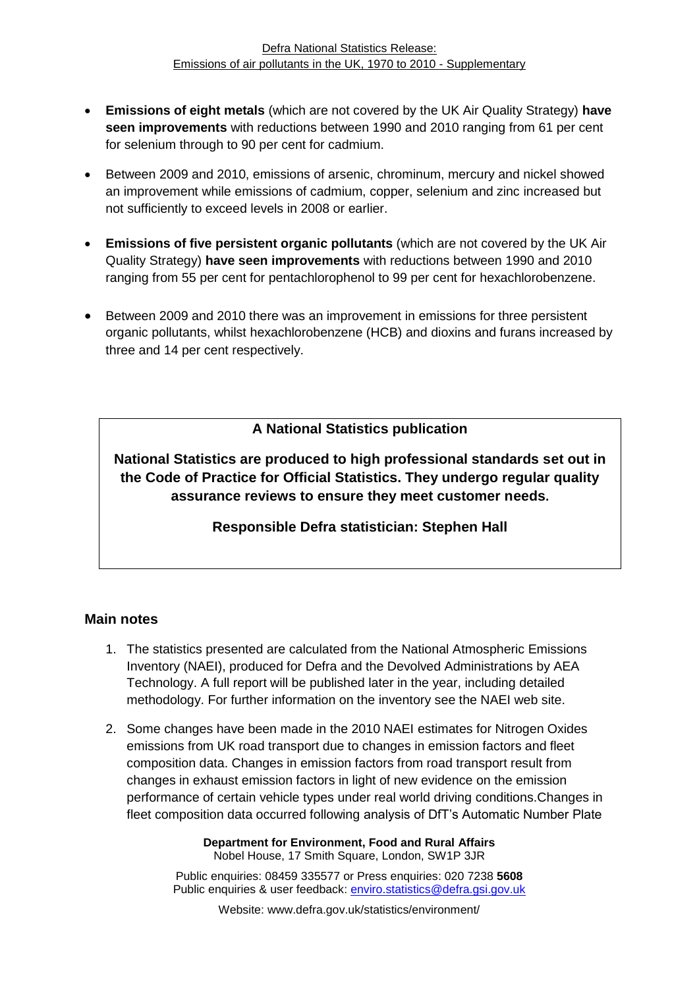- **Emissions of eight metals** (which are not covered by the UK Air Quality Strategy) **have seen improvements** with reductions between 1990 and 2010 ranging from 61 per cent for selenium through to 90 per cent for cadmium.
- Between 2009 and 2010, emissions of arsenic, chrominum, mercury and nickel showed an improvement while emissions of cadmium, copper, selenium and zinc increased but not sufficiently to exceed levels in 2008 or earlier.
- **Emissions of five persistent organic pollutants** (which are not covered by the UK Air Quality Strategy) **have seen improvements** with reductions between 1990 and 2010 ranging from 55 per cent for pentachlorophenol to 99 per cent for hexachlorobenzene.
- Between 2009 and 2010 there was an improvement in emissions for three persistent organic pollutants, whilst hexachlorobenzene (HCB) and dioxins and furans increased by three and 14 per cent respectively.

#### **A National Statistics publication**

**National Statistics are produced to high professional standards set out in the Code of Practice for Official Statistics. They undergo regular quality assurance reviews to ensure they meet customer needs.**

**Responsible Defra statistician: Stephen Hall**

#### **Main notes**

- 1. The statistics presented are calculated from the National Atmospheric Emissions Inventory (NAEI), produced for Defra and the Devolved Administrations by AEA Technology. A full report will be published later in the year, including detailed methodology. For further information on the inventory see the NAEI web site.
- 2. Some changes have been made in the 2010 NAEI estimates for Nitrogen Oxides emissions from UK road transport due to changes in emission factors and fleet composition data. Changes in emission factors from road transport result from changes in exhaust emission factors in light of new evidence on the emission performance of certain vehicle types under real world driving conditions.Changes in fleet composition data occurred following analysis of DfT's Automatic Number Plate

**Department for Environment, Food and Rural Affairs** Nobel House, 17 Smith Square, London, SW1P 3JR

Public enquiries: 08459 335577 or Press enquiries: 020 7238 **5608** Public enquiries & user feedback: enviro.statistics@defra.gsi.gov.uk